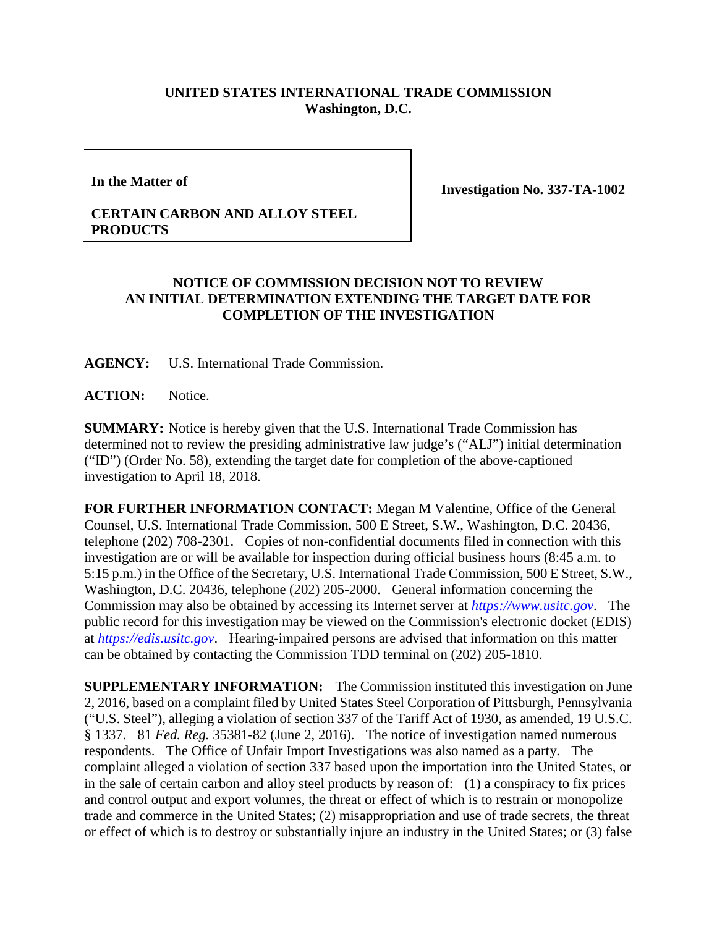## **UNITED STATES INTERNATIONAL TRADE COMMISSION Washington, D.C.**

**In the Matter of**

**Investigation No. 337-TA-1002**

## **CERTAIN CARBON AND ALLOY STEEL PRODUCTS**

## **NOTICE OF COMMISSION DECISION NOT TO REVIEW AN INITIAL DETERMINATION EXTENDING THE TARGET DATE FOR COMPLETION OF THE INVESTIGATION**

**AGENCY:** U.S. International Trade Commission.

**ACTION:** Notice.

**SUMMARY:** Notice is hereby given that the U.S. International Trade Commission has determined not to review the presiding administrative law judge's ("ALJ") initial determination ("ID") (Order No. 58), extending the target date for completion of the above-captioned investigation to April 18, 2018.

**FOR FURTHER INFORMATION CONTACT:** Megan M Valentine, Office of the General Counsel, U.S. International Trade Commission, 500 E Street, S.W., Washington, D.C. 20436, telephone (202) 708-2301. Copies of non-confidential documents filed in connection with this investigation are or will be available for inspection during official business hours (8:45 a.m. to 5:15 p.m.) in the Office of the Secretary, U.S. International Trade Commission, 500 E Street, S.W., Washington, D.C. 20436, telephone (202) 205-2000. General information concerning the Commission may also be obtained by accessing its Internet server at *[https://www.usitc.gov](https://www.usitc.gov/)*. The public record for this investigation may be viewed on the Commission's electronic docket (EDIS) at *[https://edis.usitc.gov](https://edis.usitc.gov/)*. Hearing-impaired persons are advised that information on this matter can be obtained by contacting the Commission TDD terminal on (202) 205-1810.

**SUPPLEMENTARY INFORMATION:** The Commission instituted this investigation on June 2, 2016, based on a complaint filed by United States Steel Corporation of Pittsburgh, Pennsylvania ("U.S. Steel"), alleging a violation of section 337 of the Tariff Act of 1930, as amended, 19 U.S.C. § 1337. 81 *Fed. Reg.* 35381-82 (June 2, 2016). The notice of investigation named numerous respondents. The Office of Unfair Import Investigations was also named as a party. The complaint alleged a violation of section 337 based upon the importation into the United States, or in the sale of certain carbon and alloy steel products by reason of: (1) a conspiracy to fix prices and control output and export volumes, the threat or effect of which is to restrain or monopolize trade and commerce in the United States; (2) misappropriation and use of trade secrets, the threat or effect of which is to destroy or substantially injure an industry in the United States; or (3) false